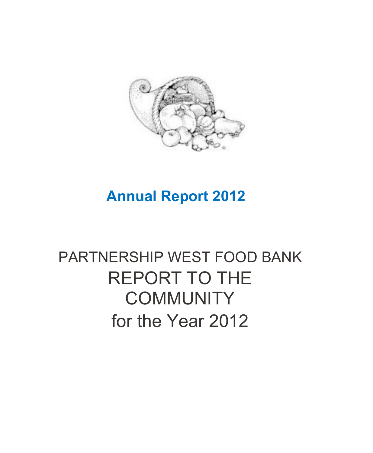

#### **Annual Report 2012**

#### PARTNERSHIP WEST FOOD BANK REPORT TO THE **COMMUNITY** for the Year 2012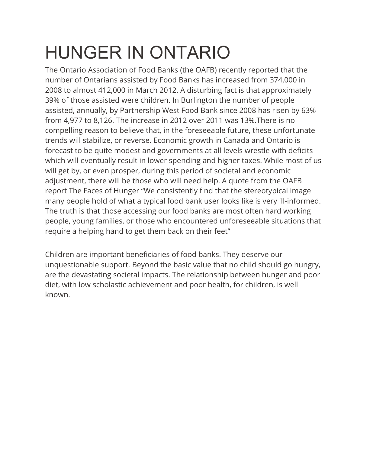## HUNGER IN ONTARIO

The Ontario Association of Food Banks (the OAFB) recently reported that the number of Ontarians assisted by Food Banks has increased from 374,000 in 2008 to almost 412,000 in March 2012. A disturbing fact is that approximately 39% of those assisted were children. In Burlington the number of people assisted, annually, by Partnership West Food Bank since 2008 has risen by 63% from 4,977 to 8,126. The increase in 2012 over 2011 was 13%.There is no compelling reason to believe that, in the foreseeable future, these unfortunate trends will stabilize, or reverse. Economic growth in Canada and Ontario is forecast to be quite modest and governments at all levels wrestle with deficits which will eventually result in lower spending and higher taxes. While most of us will get by, or even prosper, during this period of societal and economic adjustment, there will be those who will need help. A quote from the OAFB report The Faces of Hunger "We consistently find that the stereotypical image many people hold of what a typical food bank user looks like is very ill-informed. The truth is that those accessing our food banks are most often hard working people, young families, or those who encountered unforeseeable situations that require a helping hand to get them back on their feet"

Children are important beneficiaries of food banks. They deserve our unquestionable support. Beyond the basic value that no child should go hungry, are the devastating societal impacts. The relationship between hunger and poor diet, with low scholastic achievement and poor health, for children, is well known.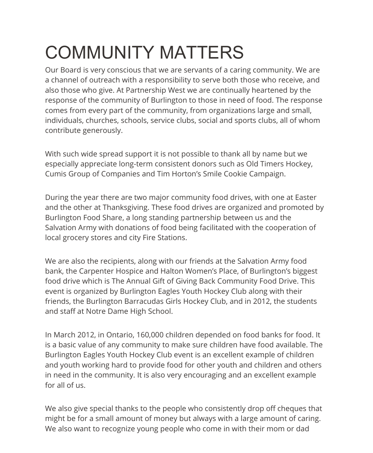# COMMUNITY MATTERS

Our Board is very conscious that we are servants of a caring community. We are a channel of outreach with a responsibility to serve both those who receive, and also those who give. At Partnership West we are continually heartened by the response of the community of Burlington to those in need of food. The response comes from every part of the community, from organizations large and small, individuals, churches, schools, service clubs, social and sports clubs, all of whom contribute generously.

With such wide spread support it is not possible to thank all by name but we especially appreciate long-term consistent donors such as Old Timers Hockey, Cumis Group of Companies and Tim Horton's Smile Cookie Campaign.

During the year there are two major community food drives, with one at Easter and the other at Thanksgiving. These food drives are organized and promoted by Burlington Food Share, a long standing partnership between us and the Salvation Army with donations of food being facilitated with the cooperation of local grocery stores and city Fire Stations.

We are also the recipients, along with our friends at the Salvation Army food bank, the Carpenter Hospice and Halton Women's Place, of Burlington's biggest food drive which is The Annual Gift of Giving Back Community Food Drive. This event is organized by Burlington Eagles Youth Hockey Club along with their friends, the Burlington Barracudas Girls Hockey Club, and in 2012, the students and staff at Notre Dame High School.

In March 2012, in Ontario, 160,000 children depended on food banks for food. It is a basic value of any community to make sure children have food available. The Burlington Eagles Youth Hockey Club event is an excellent example of children and youth working hard to provide food for other youth and children and others in need in the community. It is also very encouraging and an excellent example for all of us.

We also give special thanks to the people who consistently drop off cheques that might be for a small amount of money but always with a large amount of caring. We also want to recognize young people who come in with their mom or dad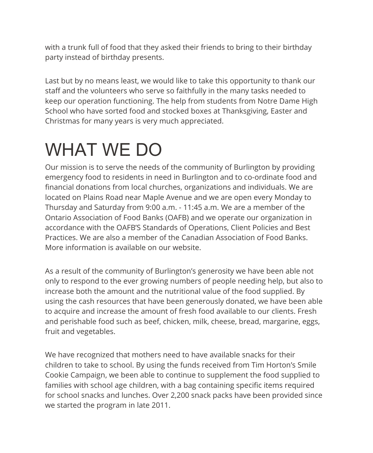with a trunk full of food that they asked their friends to bring to their birthday party instead of birthday presents.

Last but by no means least, we would like to take this opportunity to thank our staff and the volunteers who serve so faithfully in the many tasks needed to keep our operation functioning. The help from students from Notre Dame High School who have sorted food and stocked boxes at Thanksgiving, Easter and Christmas for many years is very much appreciated.

### WHAT WE DO

Our mission is to serve the needs of the community of Burlington by providing emergency food to residents in need in Burlington and to co-ordinate food and financial donations from local churches, organizations and individuals. We are located on Plains Road near Maple Avenue and we are open every Monday to Thursday and Saturday from 9:00 a.m. - 11:45 a.m. We are a member of the Ontario Association of Food Banks (OAFB) and we operate our organization in accordance with the OAFB'S Standards of Operations, Client Policies and Best Practices. We are also a member of the Canadian Association of Food Banks. More information is available on our website.

As a result of the community of Burlington's generosity we have been able not only to respond to the ever growing numbers of people needing help, but also to increase both the amount and the nutritional value of the food supplied. By using the cash resources that have been generously donated, we have been able to acquire and increase the amount of fresh food available to our clients. Fresh and perishable food such as beef, chicken, milk, cheese, bread, margarine, eggs, fruit and vegetables.

We have recognized that mothers need to have available snacks for their children to take to school. By using the funds received from Tim Horton's Smile Cookie Campaign, we been able to continue to supplement the food supplied to families with school age children, with a bag containing specific items required for school snacks and lunches. Over 2,200 snack packs have been provided since we started the program in late 2011.